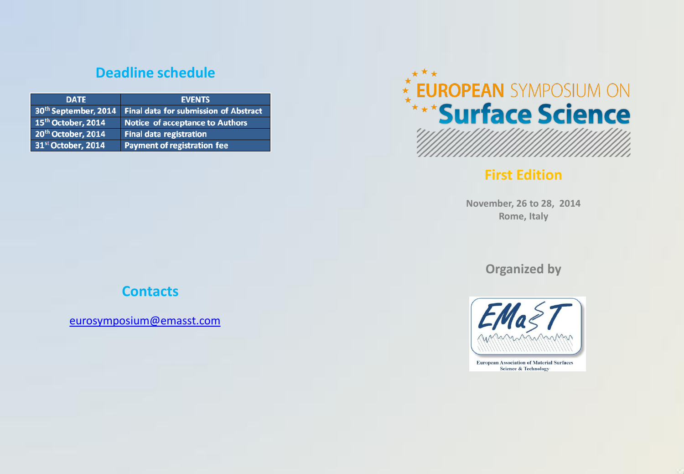# **Deadline schedule**

| <b>DATE</b>                      | <b>EVENTS</b>                                |
|----------------------------------|----------------------------------------------|
| 30 <sup>th</sup> September, 2014 | <b>Final data for submission of Abstract</b> |
| 15 <sup>th</sup> October, 2014   | Notice of acceptance to Authors              |
| 20th October, 2014               | <b>Final data registration</b>               |
| 31 <sup>st</sup> October, 2014   | Payment of registration fee                  |



## **First Edition**

**November, 26 to 28, 2014 Rome, Italy**

**Organized by**



**European Association of Material Surfaces Science & Technology** 

# **Contacts**

[eurosymposium@emasst.com](mailto:Eurosymposium@emasst.com)